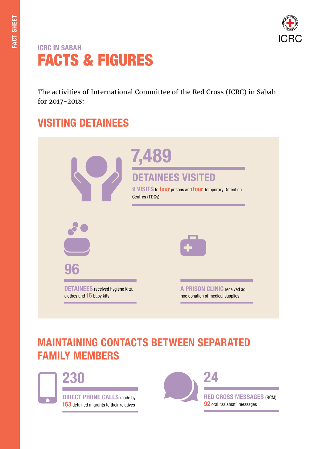

## ICRC IN SABAH FACTS & FIGURES

The activities of International Committee of the Red Cross (ICRC) in Sabah for 2017-2018:

## VISITING DETAINEES

|                                                                           | 7,489<br><b>DETAINEES VISITED</b><br>9 VISITS to four prisons and four Temporary Detention<br>Centres (TDCs) |
|---------------------------------------------------------------------------|--------------------------------------------------------------------------------------------------------------|
|                                                                           |                                                                                                              |
| 96<br><b>DETAINEES</b> received hygiene kits,<br>clothes and 16 baby kits | A PRISON CLINIC received ad<br>hoc donation of medical supplies                                              |

## MAINTAINING CONTACTS BETWEEN SEPARATED FAMILY MEMBERS



230

DIRECT PHONE CALLS made by 163 detained migrants to their relatives